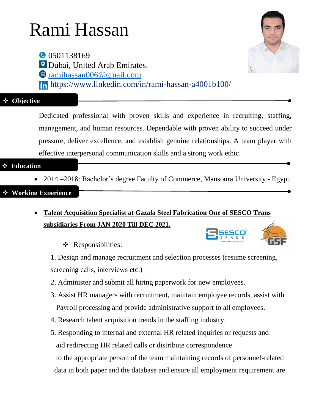# Rami Hassan

0501138169 Dubai, United Arab Emirates. [ramihassan006@gmail.com](mailto:ramihassan006@gmail.com) https://www.linkedin.com/in/rami-hassan-a4001b100/

#### **Objective**

[De](http://mediacause.org/if-you-were-a-social-platform-what-would-you-be)dicated professional with proven skills and experience in recruiting, staffing, [ma](http://mediacause.org/if-you-were-a-social-platform-what-would-you-be)nagement, and human resources. Dependable with proven ability to succeed under [pre](http://mediacause.org/if-you-were-a-social-platform-what-would-you-be)ssure, deliver excellence, and establish genuine relationships. A team player with effective interpersonal communication skills and a strong work ethic.

#### **Education**

• 2014–2018: Bachelor's degree Faculty of Commerce, Mansoura University - Egypt.

#### **Working Experience**

- **Talent Acquisition Specialist at Gazala Steel Fabrication One of SESCO Trans subsidiaries From JAN 2020 Till DEC 2021.** 
	- \* Responsibilities:



1. Design and manage recruitment and selection processes (resume screening, screening calls, interviews etc.)

- 2. Administer and submit all hiring paperwork for new employees.
- 3. Assist HR managers with recruitment, maintain employee records, assist with Payroll processing and provide administrative support to all employees.
- 4. Research talent acquisition trends in the staffing industry.
- 5. Responding to internal and external HR related inquiries or requests and aid redirecting HR related calls or distribute correspondence to the appropriate person of the team maintaining records of personnel-related data in both paper and the database and ensure all employment requirement are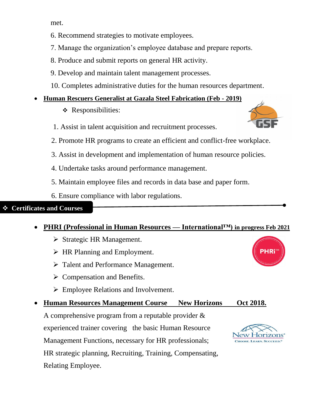met.

- 6. Recommend strategies to motivate employees.
- 7. Manage the organization's employee database and prepare reports.
- 8. Produce and submit reports on general HR activity.
- 9. Develop and maintain talent management processes.
- 10. Completes administrative duties for the human resources department.

### **Human Rescuers Generalist at Gazala Steel Fabrication (Feb - 2019)**

- $\triangleleft$  Responsibilities:
- 1. Assist in talent acquisition and recruitment processes.
- 2. Promote HR programs to create an efficient and conflict-free workplace.
- 3. Assist in development and implementation of human resource policies.
- 4. Undertake tasks around performance management.
- 5. Maintain employee files and records in data base and paper form.
- 6. Ensure compliance with labor regulations.

#### **Certificates and Courses**

### **PHRI (Professional in Human Resources — International™) in progress Feb 2021**

- $\triangleright$  Strategic HR Management.
- $\triangleright$  HR Planning and Employment.
- > Talent and Performance Management.
- $\triangleright$  Compensation and Benefits.
- Employee Relations and Involvement.

### **Human Resources Management Course New Horizons Oct 2018.**

A comprehensive program from a reputable provider & experienced trainer covering the basic Human Resource Management Functions, necessary for HR professionals; HR strategic planning, Recruiting, Training, Compensating, Relating Employee.





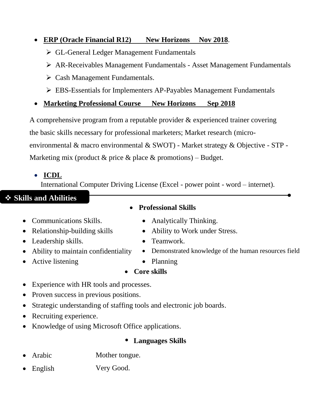#### **ERP (Oracle Financial R12)** New Horizons Nov 2018.

- GL-General Ledger Management Fundamentals
- AR-Receivables Management Fundamentals Asset Management Fundamentals
- $\triangleright$  Cash Management Fundamentals.
- EBS-Essentials for Implementers AP-Payables Management Fundamentals
- **Marketing Professional Course New Horizons Sep 2018**

A comprehensive program from a reputable provider & experienced trainer covering the basic skills necessary for professional marketers; Market research (microenvironmental & macro environmental & SWOT) - Market strategy & Objective - STP - Marketing mix (product  $\&$  price  $\&$  place  $\&$  promotions) – Budget.

# **ICDL**

International Computer Driving License (Excel - power point - word – internet).

# **Skills and Abilities**

- Communications Skills. Analytically Thinking.
- 
- Leadership skills. Teamwork.
- 
- Active listening Planning
- **Professional Skills** 
	-
- Relationship-building skills Ability to Work under Stress.
	-
- Ability to maintain confidentiality Demonstrated knowledge of the human resources field
	-

**Core skills**

- Experience with HR tools and processes.
- Proven success in previous positions.
- Strategic understanding of staffing tools and electronic job boards.
- Recruiting experience.
- Knowledge of using Microsoft Office applications.

#### **• Languages Skills**

- Arabic Mother tongue.
- English Very Good.